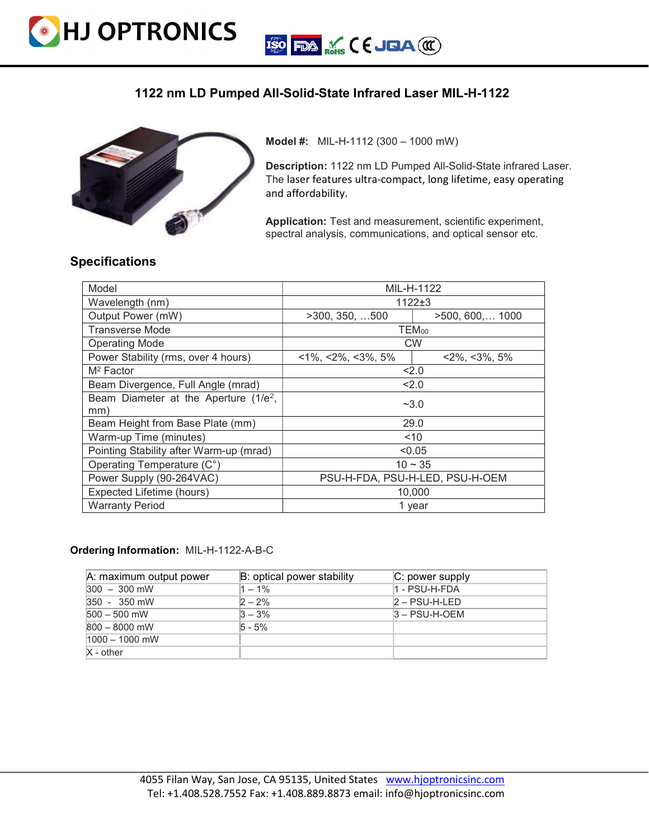

## 1122 nm LD Pumped All-Solid-State Infrared Laser MIL-H-1122



Model #: MIL-H-1112 (300 – 1000 mW)

Description: 1122 nm LD Pumped All-Solid-State infrared Laser. The laser features ultra-compact, long lifetime, easy operating and affordability.

Application: Test and measurement, scientific experiment, spectral analysis, communications, and optical sensor etc.

## Specifications

| Model                                                    | MIL-H-1122                        |                          |
|----------------------------------------------------------|-----------------------------------|--------------------------|
| Wavelength (nm)                                          | $1122+3$                          |                          |
| Output Power (mW)                                        | >300, 350, 500                    | $>500, 600, \ldots$ 1000 |
| <b>Transverse Mode</b>                                   | <b>TEM</b> <sub>00</sub>          |                          |
| <b>Operating Mode</b>                                    | <b>CW</b>                         |                          |
| Power Stability (rms, over 4 hours)                      | $~1\%$ , $~2\%$ , $~3\%$ , $~5\%$ | $<2\%$ , $<3\%$ , 5%     |
| $M^2$ Factor                                             | 2.0                               |                          |
| Beam Divergence, Full Angle (mrad)                       | 2.0                               |                          |
| Beam Diameter at the Aperture (1/e <sup>2</sup> ,<br>mm) | $-3.0$                            |                          |
| Beam Height from Base Plate (mm)                         | 29.0                              |                          |
| Warm-up Time (minutes)                                   | ~10                               |                          |
| Pointing Stability after Warm-up (mrad)                  | < 0.05                            |                          |
| Operating Temperature (C°)                               | $10 \sim 35$                      |                          |
| Power Supply (90-264VAC)                                 | PSU-H-FDA, PSU-H-LED, PSU-H-OEM   |                          |
| Expected Lifetime (hours)                                | 10,000                            |                          |
| <b>Warranty Period</b>                                   | 1 year                            |                          |

## Ordering Information: MIL-H-1122-A-B-C

| A: maximum output power | $B:$ optical power stability | $ C:$ power supply |
|-------------------------|------------------------------|--------------------|
| $300 - 300$ mW          | $1 - 1\%$                    | 1 - PSU-H-FDA      |
| $350 - 350$ mW          | $2 - 2%$                     | $2 - PSU-H-LED$    |
| $500 - 500$ mW          | $3 - 3%$                     | $3 - PSU-H-OEM$    |
| $800 - 8000$ mW         | $5 - 5%$                     |                    |
| $1000 - 1000$ mW        |                              |                    |
| $X - other$             |                              |                    |